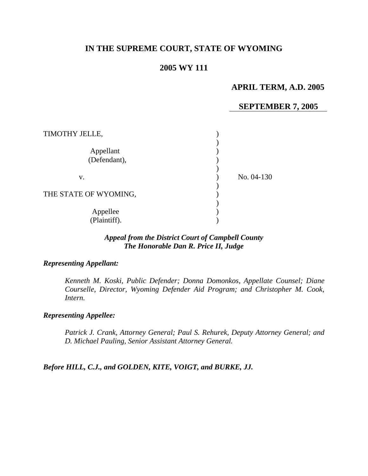# **IN THE SUPREME COURT, STATE OF WYOMING**

## **2005 WY 111**

## **APRIL TERM, A.D. 2005**

## **SEPTEMBER 7, 2005**

| TIMOTHY JELLE,            |            |
|---------------------------|------------|
| Appellant<br>(Defendant), |            |
| v.                        | No. 04-130 |
| THE STATE OF WYOMING,     |            |
| Appellee<br>(Plaintiff).  |            |

## *Appeal from the District Court of Campbell County The Honorable Dan R. Price II, Judge*

#### *Representing Appellant:*

*Kenneth M. Koski, Public Defender; Donna Domonkos, Appellate Counsel; Diane Courselle, Director, Wyoming Defender Aid Program; and Christopher M. Cook, Intern.* 

## *Representing Appellee:*

*Patrick J. Crank, Attorney General; Paul S. Rehurek, Deputy Attorney General; and D. Michael Pauling, Senior Assistant Attorney General.* 

*Before HILL, C.J., and GOLDEN, KITE, VOIGT, and BURKE, JJ.*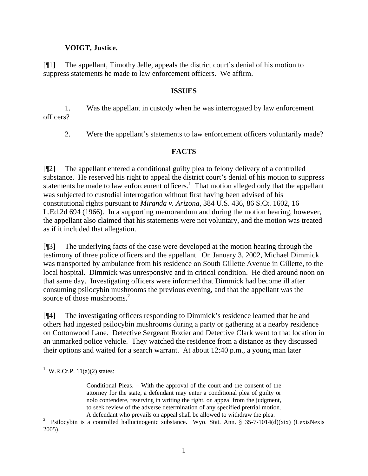## **VOIGT, Justice.**

[¶1] The appellant, Timothy Jelle, appeals the district court's denial of his motion to suppress statements he made to law enforcement officers. We affirm.

#### **ISSUES**

1. Was the appellant in custody when he was interrogated by law enforcement officers?

2. Were the appellant's statements to law enforcement officers voluntarily made?

## **FACTS**

[¶2] The appellant entered a conditional guilty plea to felony delivery of a controlled substance. He reserved his right to appeal the district court's denial of his motion to suppress statements he made to law enforcement officers. $<sup>1</sup>$  $<sup>1</sup>$  $<sup>1</sup>$  That motion alleged only that the appellant</sup> was subjected to custodial interrogation without first having been advised of his constitutional rights pursuant to *Miranda v. Arizona,* 384 U.S. 436, 86 S.Ct. 1602, 16 L.Ed.2d 694 (1966). In a supporting memorandum and during the motion hearing, however, the appellant also claimed that his statements were not voluntary, and the motion was treated as if it included that allegation.

[¶3] The underlying facts of the case were developed at the motion hearing through the testimony of three police officers and the appellant. On January 3, 2002, Michael Dimmick was transported by ambulance from his residence on South Gillette Avenue in Gillette, to the local hospital. Dimmick was unresponsive and in critical condition. He died around noon on that same day. Investigating officers were informed that Dimmick had become ill after consuming psilocybin mushrooms the previous evening, and that the appellant was the source of those mushrooms.<sup>[2](#page-1-1)</sup>

[¶4] The investigating officers responding to Dimmick's residence learned that he and others had ingested psilocybin mushrooms during a party or gathering at a nearby residence on Cottonwood Lane. Detective Sergeant Rozier and Detective Clark went to that location in an unmarked police vehicle. They watched the residence from a distance as they discussed their options and waited for a search warrant. At about 12:40 p.m., a young man later

<span id="page-1-0"></span><sup>&</sup>lt;sup>1</sup> W.R.Cr.P. 11(a)(2) states:

Conditional Pleas. – With the approval of the court and the consent of the attorney for the state, a defendant may enter a conditional plea of guilty or nolo contendere, reserving in writing the right, on appeal from the judgment, to seek review of the adverse determination of any specified pretrial motion. A defendant who prevails on appeal shall be allowed to withdraw the plea.

<span id="page-1-1"></span><sup>&</sup>lt;sup>2</sup> Psilocybin is a controlled hallucinogenic substance. Wyo. Stat. Ann. § 35-7-1014(d)(xix) (LexisNexis 2005).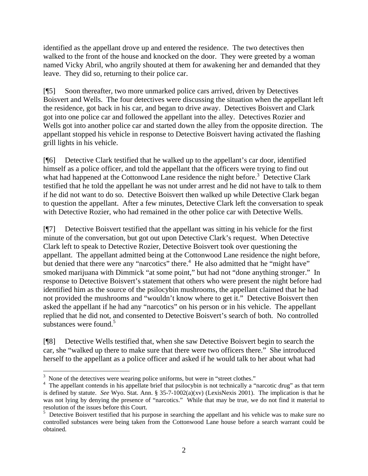identified as the appellant drove up and entered the residence. The two detectives then walked to the front of the house and knocked on the door. They were greeted by a woman named Vicky Abril, who angrily shouted at them for awakening her and demanded that they leave. They did so, returning to their police car.

[¶5] Soon thereafter, two more unmarked police cars arrived, driven by Detectives Boisvert and Wells. The four detectives were discussing the situation when the appellant left the residence, got back in his car, and began to drive away. Detectives Boisvert and Clark got into one police car and followed the appellant into the alley. Detectives Rozier and Wells got into another police car and started down the alley from the opposite direction. The appellant stopped his vehicle in response to Detective Boisvert having activated the flashing grill lights in his vehicle.

[¶6] Detective Clark testified that he walked up to the appellant's car door, identified himself as a police officer, and told the appellant that the officers were trying to find out what had happened at the Cottonwood Lane residence the night before. $3$  Detective Clark testified that he told the appellant he was not under arrest and he did not have to talk to them if he did not want to do so. Detective Boisvert then walked up while Detective Clark began to question the appellant. After a few minutes, Detective Clark left the conversation to speak with Detective Rozier, who had remained in the other police car with Detective Wells.

[¶7] Detective Boisvert testified that the appellant was sitting in his vehicle for the first minute of the conversation, but got out upon Detective Clark's request. When Detective Clark left to speak to Detective Rozier, Detective Boisvert took over questioning the appellant. The appellant admitted being at the Cottonwood Lane residence the night before, but denied that there were any "narcotics" there.<sup>[4](#page-2-1)</sup> He also admitted that he "might have" smoked marijuana with Dimmick "at some point," but had not "done anything stronger." In response to Detective Boisvert's statement that others who were present the night before had identified him as the source of the psilocybin mushrooms, the appellant claimed that he had not provided the mushrooms and "wouldn't know where to get it." Detective Boisvert then asked the appellant if he had any "narcotics" on his person or in his vehicle. The appellant replied that he did not, and consented to Detective Boisvert's search of both. No controlled substances were found.<sup>5</sup>

[¶8] Detective Wells testified that, when she saw Detective Boisvert begin to search the car, she "walked up there to make sure that there were two officers there." She introduced herself to the appellant as a police officer and asked if he would talk to her about what had

<span id="page-2-0"></span><sup>&</sup>lt;sup>3</sup> None of the detectives were wearing police uniforms, but were in "street clothes."

<span id="page-2-1"></span><sup>&</sup>lt;sup>4</sup> The appellant contends in his appellate brief that psilocybin is not technically a "narcotic drug" as that term is defined by statute. *See* Wyo. Stat. Ann. § 35-7-1002(a)(xv) (LexisNexis 2001). The implication is that he was not lying by denying the presence of "narcotics." While that may be true, we do not find it material to resolution of the issues before this Court.

<span id="page-2-2"></span><sup>&</sup>lt;sup>5</sup> Detective Boisvert testified that his purpose in searching the appellant and his vehicle was to make sure no controlled substances were being taken from the Cottonwood Lane house before a search warrant could be obtained.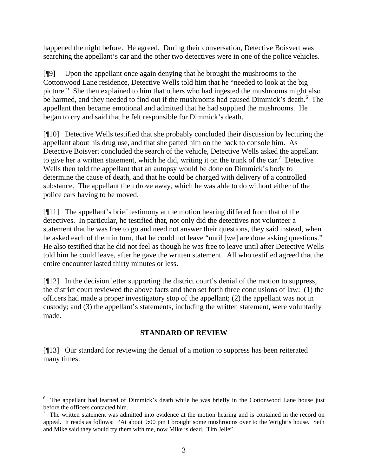happened the night before. He agreed. During their conversation, Detective Boisvert was searching the appellant's car and the other two detectives were in one of the police vehicles.

[¶9] Upon the appellant once again denying that he brought the mushrooms to the Cottonwood Lane residence, Detective Wells told him that he "needed to look at the big picture." She then explained to him that others who had ingested the mushrooms might also be harmed, and they needed to find out if the mushrooms had caused Dimmick's death.<sup>[6](#page-3-0)</sup> The appellant then became emotional and admitted that he had supplied the mushrooms. He began to cry and said that he felt responsible for Dimmick's death.

[¶10] Detective Wells testified that she probably concluded their discussion by lecturing the appellant about his drug use, and that she patted him on the back to console him. As Detective Boisvert concluded the search of the vehicle, Detective Wells asked the appellant to give her a written statement, which he did, writing it on the trunk of the car.<sup>[7](#page-3-1)</sup> Detective Wells then told the appellant that an autopsy would be done on Dimmick's body to determine the cause of death, and that he could be charged with delivery of a controlled substance. The appellant then drove away, which he was able to do without either of the police cars having to be moved.

[¶11] The appellant's brief testimony at the motion hearing differed from that of the detectives. In particular, he testified that, not only did the detectives not volunteer a statement that he was free to go and need not answer their questions, they said instead, when he asked each of them in turn, that he could not leave "until [we] are done asking questions." He also testified that he did not feel as though he was free to leave until after Detective Wells told him he could leave, after he gave the written statement. All who testified agreed that the entire encounter lasted thirty minutes or less.

[¶12] In the decision letter supporting the district court's denial of the motion to suppress, the district court reviewed the above facts and then set forth three conclusions of law: (1) the officers had made a proper investigatory stop of the appellant; (2) the appellant was not in custody; and (3) the appellant's statements, including the written statement, were voluntarily made.

## **STANDARD OF REVIEW**

[¶13] Our standard for reviewing the denial of a motion to suppress has been reiterated many times:

 $\overline{a}$ 

<span id="page-3-0"></span><sup>&</sup>lt;sup>6</sup> The appellant had learned of Dimmick's death while he was briefly in the Cottonwood Lane house just before the officers contacted him. 7

<span id="page-3-1"></span>The written statement was admitted into evidence at the motion hearing and is contained in the record on appeal. It reads as follows: "At about 9:00 pm I brought some mushrooms over to the Wright's house. Seth and Mike said they would try them with me, now Mike is dead. Tim Jelle"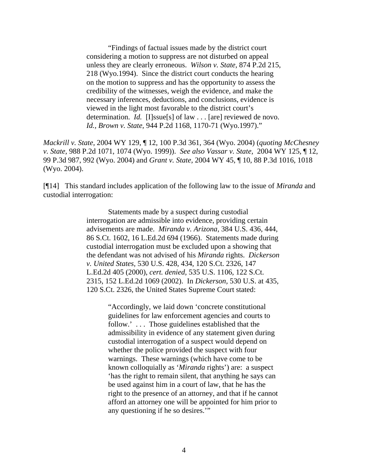"Findings of factual issues made by the district court considering a motion to suppress are not disturbed on appeal unless they are clearly erroneous. *Wilson v. State,* 874 P.2d 215, 218 (Wyo.1994). Since the district court conducts the hearing on the motion to suppress and has the opportunity to assess the credibility of the witnesses, weigh the evidence, and make the necessary inferences, deductions, and conclusions, evidence is viewed in the light most favorable to the district court's determination. *Id.* [I]ssue[s] of law . . . [are] reviewed de novo. *Id., Brown v. State,* 944 P.2d 1168, 1170-71 (Wyo.1997)."

*Mackrill v. State,* 2004 WY 129, ¶ 12, 100 P.3d 361, 364 (Wyo. 2004) (*quoting McChesney v. State,* 988 P.2d 1071, 1074 (Wyo. 1999)). *See also Vassar v. State,* 2004 WY 125, ¶ 12, 99 P.3d 987, 992 (Wyo. 2004) and *Grant v. State,* 2004 WY 45, ¶ 10, 88 P.3d 1016, 1018 (Wyo. 2004).

[¶14] This standard includes application of the following law to the issue of *Miranda* and custodial interrogation:

> Statements made by a suspect during custodial interrogation are admissible into evidence, providing certain advisements are made. *Miranda v. Arizona,* 384 U.S. 436, 444, 86 S.Ct. 1602, 16 L.Ed.2d 694 (1966). Statements made during custodial interrogation must be excluded upon a showing that the defendant was not advised of his *Miranda* rights. *Dickerson v. United States,* 530 U.S. 428, 434, 120 S.Ct. 2326, 147 L.Ed.2d 405 (2000), *cert. denied,* 535 U.S. 1106, 122 S.Ct. 2315, 152 L.Ed.2d 1069 (2002). In *Dickerson,* 530 U.S. at 435, 120 S.Ct. 2326, the United States Supreme Court stated:

> > "Accordingly, we laid down 'concrete constitutional guidelines for law enforcement agencies and courts to follow.' . . . Those guidelines established that the admissibility in evidence of any statement given during custodial interrogation of a suspect would depend on whether the police provided the suspect with four warnings. These warnings (which have come to be known colloquially as '*Miranda* rights') are: a suspect 'has the right to remain silent, that anything he says can be used against him in a court of law, that he has the right to the presence of an attorney, and that if he cannot afford an attorney one will be appointed for him prior to any questioning if he so desires.'"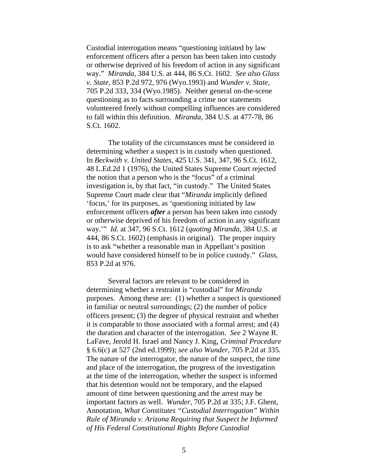Custodial interrogation means "questioning initiated by law enforcement officers after a person has been taken into custody or otherwise deprived of his freedom of action in any significant way." *Miranda,* 384 U.S. at 444, 86 S.Ct. 1602. *See also Glass v. State,* 853 P.2d 972, 976 (Wyo.1993) and *Wunder v. State,*  705 P.2d 333, 334 (Wyo.1985). Neither general on-the-scene questioning as to facts surrounding a crime nor statements volunteered freely without compelling influences are considered to fall within this definition. *Miranda,* 384 U.S. at 477-78, 86 S.Ct. 1602.

The totality of the circumstances must be considered in determining whether a suspect is in custody when questioned. In *Beckwith v. United States,* 425 U.S. 341, 347, 96 S.Ct. 1612, 48 L.Ed.2d 1 (1976), the United States Supreme Court rejected the notion that a person who is the "focus" of a criminal investigation is, by that fact, "in custody." The United States Supreme Court made clear that "*Miranda* implicitly defined 'focus,' for its purposes, as 'questioning initiated by law enforcement officers *after* a person has been taken into custody or otherwise deprived of his freedom of action in any significant way.'" *Id.* at 347, 96 S.Ct. 1612 (*quoting Miranda*, 384 U.S. at 444, 86 S.Ct. 1602) (emphasis in original). The proper inquiry is to ask "whether a reasonable man in Appellant's position would have considered himself to be in police custody." *Glass,*  853 P.2d at 976.

Several factors are relevant to be considered in determining whether a restraint is "custodial" for *Miranda*  purposes. Among these are: (1) whether a suspect is questioned in familiar or neutral surroundings; (2) the number of police officers present; (3) the degree of physical restraint and whether it is comparable to those associated with a formal arrest; and (4) the duration and character of the interrogation. *See* 2 Wayne R. LaFave, Jerold H. Israel and Nancy J. King, *Criminal Procedure* § 6.6(c) at 527 (2nd ed.1999); *see also Wunder,* 705 P.2d at 335. The nature of the interrogator, the nature of the suspect, the time and place of the interrogation, the progress of the investigation at the time of the interrogation, whether the suspect is informed that his detention would not be temporary, and the elapsed amount of time between questioning and the arrest may be important factors as well. *Wunder,* 705 P.2d at 335; J.F. Ghent, Annotation, *What Constitutes "Custodial Interrogation" Within Rule of Miranda v. Arizona Requiring that Suspect be Informed of His Federal Constitutional Rights Before Custodial*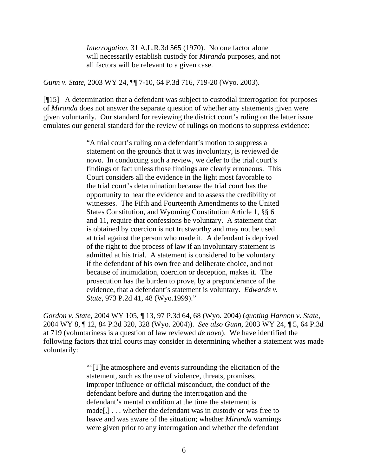*Interrogation,* 31 A.L.R.3d 565 (1970). No one factor alone will necessarily establish custody for *Miranda* purposes, and not all factors will be relevant to a given case.

*Gunn v. State,* 2003 WY 24, ¶¶ 7-10, 64 P.3d 716, 719-20 (Wyo. 2003).

[¶15] A determination that a defendant was subject to custodial interrogation for purposes of *Miranda* does not answer the separate question of whether any statements given were given voluntarily. Our standard for reviewing the district court's ruling on the latter issue emulates our general standard for the review of rulings on motions to suppress evidence:

> "A trial court's ruling on a defendant's motion to suppress a statement on the grounds that it was involuntary, is reviewed de novo. In conducting such a review, we defer to the trial court's findings of fact unless those findings are clearly erroneous. This Court considers all the evidence in the light most favorable to the trial court's determination because the trial court has the opportunity to hear the evidence and to assess the credibility of witnesses. The Fifth and Fourteenth Amendments to the United States Constitution, and Wyoming Constitution Article 1, §§ 6 and 11, require that confessions be voluntary. A statement that is obtained by coercion is not trustworthy and may not be used at trial against the person who made it. A defendant is deprived of the right to due process of law if an involuntary statement is admitted at his trial. A statement is considered to be voluntary if the defendant of his own free and deliberate choice, and not because of intimidation, coercion or deception, makes it. The prosecution has the burden to prove, by a preponderance of the evidence, that a defendant's statement is voluntary. *Edwards v. State,* 973 P.2d 41, 48 (Wyo.1999)."

*Gordon v. State,* 2004 WY 105, ¶ 13, 97 P.3d 64, 68 (Wyo. 2004) (*quoting Hannon v. State,*  2004 WY 8, ¶ 12, 84 P.3d 320, 328 (Wyo. 2004)). *See also Gunn,* 2003 WY 24, ¶ 5, 64 P.3d at 719 (voluntariness is a question of law reviewed *de novo*). We have identified the following factors that trial courts may consider in determining whether a statement was made voluntarily:

> "'[T]he atmosphere and events surrounding the elicitation of the statement, such as the use of violence, threats, promises, improper influence or official misconduct, the conduct of the defendant before and during the interrogation and the defendant's mental condition at the time the statement is made[,] . . . whether the defendant was in custody or was free to leave and was aware of the situation; whether *Miranda* warnings were given prior to any interrogation and whether the defendant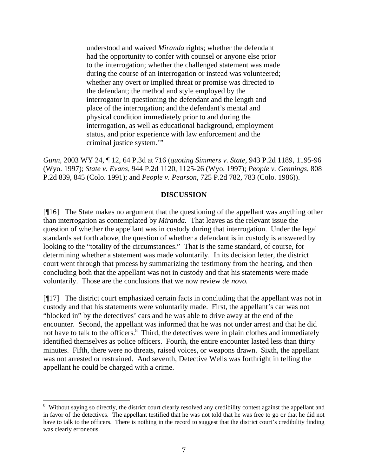understood and waived *Miranda* rights; whether the defendant had the opportunity to confer with counsel or anyone else prior to the interrogation; whether the challenged statement was made during the course of an interrogation or instead was volunteered; whether any overt or implied threat or promise was directed to the defendant; the method and style employed by the interrogator in questioning the defendant and the length and place of the interrogation; and the defendant's mental and physical condition immediately prior to and during the interrogation, as well as educational background, employment status, and prior experience with law enforcement and the criminal justice system.'"

*Gunn,* 2003 WY 24, ¶ 12, 64 P.3d at 716 (*quoting Simmers v. State,* 943 P.2d 1189, 1195-96 (Wyo. 1997); *State v. Evans*, 944 P.2d 1120, 1125-26 (Wyo. 1997); *People v. Gennings*, 808 P.2d 839, 845 (Colo. 1991); and *People v. Pearson*, 725 P.2d 782, 783 (Colo. 1986)).

#### **DISCUSSION**

[¶16] The State makes no argument that the questioning of the appellant was anything other than interrogation as contemplated by *Miranda.* That leaves as the relevant issue the question of whether the appellant was in custody during that interrogation. Under the legal standards set forth above, the question of whether a defendant is in custody is answered by looking to the "totality of the circumstances." That is the same standard, of course, for determining whether a statement was made voluntarily. In its decision letter, the district court went through that process by summarizing the testimony from the hearing, and then concluding both that the appellant was not in custody and that his statements were made voluntarily. Those are the conclusions that we now review *de novo.* 

[¶17] The district court emphasized certain facts in concluding that the appellant was not in custody and that his statements were voluntarily made. First, the appellant's car was not "blocked in" by the detectives' cars and he was able to drive away at the end of the encounter. Second, the appellant was informed that he was not under arrest and that he did not have to talk to the officers.<sup>[8](#page-7-0)</sup> Third, the detectives were in plain clothes and immediately identified themselves as police officers. Fourth, the entire encounter lasted less than thirty minutes. Fifth, there were no threats, raised voices, or weapons drawn. Sixth, the appellant was not arrested or restrained. And seventh, Detective Wells was forthright in telling the appellant he could be charged with a crime.

 $\overline{a}$ 

<span id="page-7-0"></span><sup>&</sup>lt;sup>8</sup> Without saying so directly, the district court clearly resolved any credibility contest against the appellant and in favor of the detectives. The appellant testified that he was not told that he was free to go or that he did not have to talk to the officers. There is nothing in the record to suggest that the district court's credibility finding was clearly erroneous.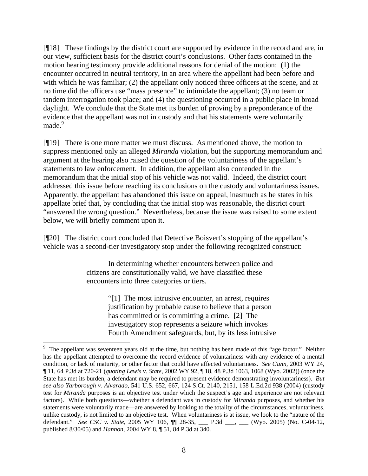[¶18] These findings by the district court are supported by evidence in the record and are, in our view, sufficient basis for the district court's conclusions. Other facts contained in the motion hearing testimony provide additional reasons for denial of the motion: (1) the encounter occurred in neutral territory, in an area where the appellant had been before and with which he was familiar; (2) the appellant only noticed three officers at the scene, and at no time did the officers use "mass presence" to intimidate the appellant; (3) no team or tandem interrogation took place; and (4) the questioning occurred in a public place in broad daylight. We conclude that the State met its burden of proving by a preponderance of the evidence that the appellant was not in custody and that his statements were voluntarily made.<sup>[9](#page-8-0)</sup>

[¶19] There is one more matter we must discuss. As mentioned above, the motion to suppress mentioned only an alleged *Miranda* violation, but the supporting memorandum and argument at the hearing also raised the question of the voluntariness of the appellant's statements to law enforcement. In addition, the appellant also contended in the memorandum that the initial stop of his vehicle was not valid. Indeed, the district court addressed this issue before reaching its conclusions on the custody and voluntariness issues. Apparently, the appellant has abandoned this issue on appeal, inasmuch as he states in his appellate brief that, by concluding that the initial stop was reasonable, the district court "answered the wrong question." Nevertheless, because the issue was raised to some extent below, we will briefly comment upon it.

[¶20] The district court concluded that Detective Boisvert's stopping of the appellant's vehicle was a second-tier investigatory stop under the following recognized construct:

> In determining whether encounters between police and citizens are constitutionally valid, we have classified these encounters into three categories or tiers.

> > "[1] The most intrusive encounter, an arrest, requires justification by probable cause to believe that a person has committed or is committing a crime. [2] The investigatory stop represents a seizure which invokes Fourth Amendment safeguards, but, by its less intrusive

<span id="page-8-0"></span><sup>9</sup> The appellant was seventeen years old at the time, but nothing has been made of this "age factor." Neither has the appellant attempted to overcome the record evidence of voluntariness with any evidence of a mental condition, or lack of maturity, or other factor that could have affected voluntariness. *See Gunn,* 2003 WY 24, ¶ 11, 64 P.3d at 720-21 (*quoting Lewis v. State*, 2002 WY 92, ¶ 18, 48 P.3d 1063, 1068 (Wyo. 2002)) (once the State has met its burden, a defendant may be required to present evidence demonstrating involuntariness). *But see also Yarborough v. Alvarado,* 541 U.S. 652, 667, 124 S.Ct. 2140, 2151, 158 L.Ed.2d 938 (2004) (custody test for *Miranda* purposes is an objective test under which the suspect's age and experience are not relevant factors). While both questions—whether a defendant was in custody for *Miranda* purposes, and whether his statements were voluntarily made—are answered by looking to the totality of the circumstances, voluntariness, unlike custody, is not limited to an objective test. When voluntariness is at issue, we look to the "nature of the defendant." *See CSC v. State*, 2005 WY 106, ¶¶ 28-35, \_\_\_ P.3d \_\_\_, \_\_\_ (Wyo. 2005) (No. C-04-12, published 8/30/05) and *Hannon*, 2004 WY 8, ¶ 51, 84 P.3d at 340.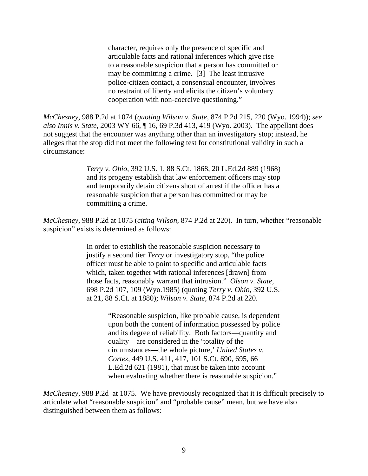character, requires only the presence of specific and articulable facts and rational inferences which give rise to a reasonable suspicion that a person has committed or may be committing a crime. [3] The least intrusive police-citizen contact, a consensual encounter, involves no restraint of liberty and elicits the citizen's voluntary cooperation with non-coercive questioning."

*McChesney,* 988 P.2d at 1074 (*quoting Wilson v. State,* 874 P.2d 215, 220 (Wyo. 1994)); *see also Innis v. State,* 2003 WY 66, ¶ 16, 69 P.3d 413, 419 (Wyo. 2003). The appellant does not suggest that the encounter was anything other than an investigatory stop; instead, he alleges that the stop did not meet the following test for constitutional validity in such a circumstance:

> *Terry v. Ohio,* 392 U.S. 1, 88 S.Ct. 1868, 20 L.Ed.2d 889 (1968) and its progeny establish that law enforcement officers may stop and temporarily detain citizens short of arrest if the officer has a reasonable suspicion that a person has committed or may be committing a crime.

*McChesney,* 988 P.2d at 1075 (*citing Wilson,* 874 P.2d at 220). In turn, whether "reasonable suspicion" exists is determined as follows:

> In order to establish the reasonable suspicion necessary to justify a second tier *Terry* or investigatory stop, "the police officer must be able to point to specific and articulable facts which, taken together with rational inferences [drawn] from those facts, reasonably warrant that intrusion." *Olson v. State,*  698 P.2d 107, 109 (Wyo.1985) (quoting *Terry v. Ohio,* 392 U.S. at 21, 88 S.Ct. at 1880); *Wilson v. State,* 874 P.2d at 220.

> > "Reasonable suspicion, like probable cause, is dependent upon both the content of information possessed by police and its degree of reliability. Both factors—quantity and quality—are considered in the 'totality of the circumstances—the whole picture,' *United States v. Cortez,* 449 U.S. 411, 417, 101 S.Ct. 690, 695, 66 L.Ed.2d 621 (1981), that must be taken into account when evaluating whether there is reasonable suspicion."

*McChesney*, 988 P.2d at 1075. We have previously recognized that it is difficult precisely to articulate what "reasonable suspicion" and "probable cause" mean, but we have also distinguished between them as follows: